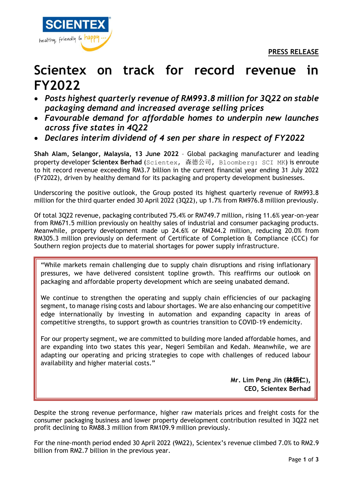

## **Scientex on track for record revenue in FY2022**

- *Posts highest quarterly revenue of RM993.8 million for 3Q22 on stable packaging demand and increased average selling prices*
- *Favourable demand for affordable homes to underpin new launches across five states in 4Q22*
- *Declares interim dividend of 4 sen per share in respect of FY2022*

**Shah Alam, Selangor, Malaysia, 13 June 2022** – Global packaging manufacturer and leading property developer **Scientex Berhad** (Scientex, 森德公司, Bloomberg: SCI MK) is enroute to hit record revenue exceeding RM3.7 billion in the current financial year ending 31 July 2022 (FY2022), driven by healthy demand for its packaging and property development businesses.

Underscoring the positive outlook, the Group posted its highest quarterly revenue of RM993.8 million for the third quarter ended 30 April 2022 (3Q22), up 1.7% from RM976.8 million previously.

Of total 3Q22 revenue, packaging contributed 75.4% or RM749.7 million, rising 11.6% year-on-year from RM671.5 million previously on healthy sales of industrial and consumer packaging products. Meanwhile, property development made up 24.6% or RM244.2 million, reducing 20.0% from RM305.3 million previously on deferment of Certificate of Completion & Compliance (CCC) for Southern region projects due to material shortages for power supply infrastructure.

"While markets remain challenging due to supply chain disruptions and rising inflationary pressures, we have delivered consistent topline growth. This reaffirms our outlook on packaging and affordable property development which are seeing unabated demand.

We continue to strengthen the operating and supply chain efficiencies of our packaging segment, to manage rising costs and labour shortages. We are also enhancing our competitive edge internationally by investing in automation and expanding capacity in areas of competitive strengths, to support growth as countries transition to COVID-19 endemicity.

For our property segment, we are committed to building more landed affordable homes, and are expanding into two states this year, Negeri Sembilan and Kedah. Meanwhile, we are adapting our operating and pricing strategies to cope with challenges of reduced labour availability and higher material costs."

> **Mr. Lim Peng Jin (**林炳仁**), CEO, Scientex Berhad**

Despite the strong revenue performance, higher raw materials prices and freight costs for the consumer packaging business and lower property development contribution resulted in 3Q22 net profit declining to RM88.3 million from RM109.9 million previously.

For the nine-month period ended 30 April 2022 (9M22), Scientex's revenue climbed 7.0% to RM2.9 billion from RM2.7 billion in the previous year.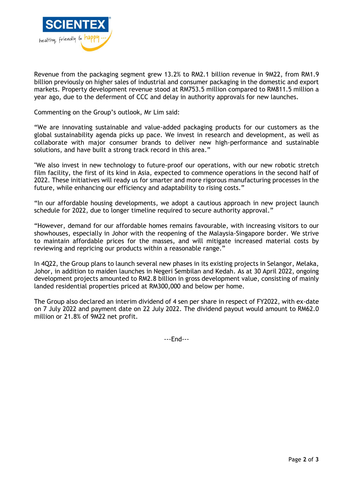

Revenue from the packaging segment grew 13.2% to RM2.1 billion revenue in 9M22, from RM1.9 billion previously on higher sales of industrial and consumer packaging in the domestic and export markets. Property development revenue stood at RM753.5 million compared to RM811.5 million a year ago, due to the deferment of CCC and delay in authority approvals for new launches.

Commenting on the Group's outlook, Mr Lim said:

"We are innovating sustainable and value-added packaging products for our customers as the global sustainability agenda picks up pace. We invest in research and development, as well as collaborate with major consumer brands to deliver new high-performance and sustainable solutions, and have built a strong track record in this area."

"We also invest in new technology to future-proof our operations, with our new robotic stretch film facility, the first of its kind in Asia, expected to commence operations in the second half of 2022. These initiatives will ready us for smarter and more rigorous manufacturing processes in the future, while enhancing our efficiency and adaptability to rising costs."

"In our affordable housing developments, we adopt a cautious approach in new project launch schedule for 2022, due to longer timeline required to secure authority approval."

"However, demand for our affordable homes remains favourable, with increasing visitors to our showhouses, especially in Johor with the reopening of the Malaysia-Singapore border. We strive to maintain affordable prices for the masses, and will mitigate increased material costs by reviewing and repricing our products within a reasonable range."

In 4Q22, the Group plans to launch several new phases in its existing projects in Selangor, Melaka, Johor, in addition to maiden launches in Negeri Sembilan and Kedah. As at 30 April 2022, ongoing development projects amounted to RM2.8 billion in gross development value, consisting of mainly landed residential properties priced at RM300,000 and below per home.

The Group also declared an interim dividend of 4 sen per share in respect of FY2022, with ex-date on 7 July 2022 and payment date on 22 July 2022. The dividend payout would amount to RM62.0 million or 21.8% of 9M22 net profit.

---End---